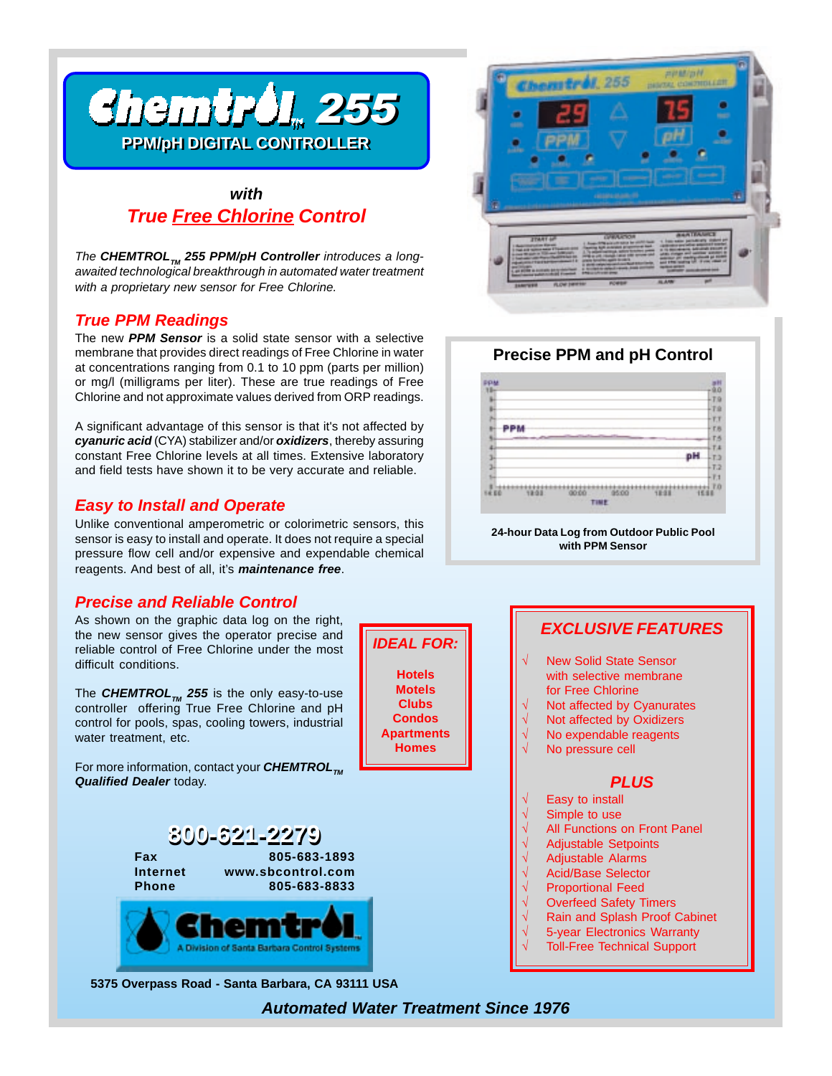

## *with True Free Chlorine Control*

The **CHEMTROL**<sub>M</sub> 255 PPM/pH Controller introduces a long*awaited technological breakthrough in automated water treatment with a proprietary new sensor for Free Chlorine.*

#### *True PPM Readings*

The new *PPM Sensor* is a solid state sensor with a selective membrane that provides direct readings of Free Chlorine in water at concentrations ranging from 0.1 to 10 ppm (parts per million) or mg/l (milligrams per liter). These are true readings of Free Chlorine and not approximate values derived from ORP readings.

A significant advantage of this sensor is that it's not affected by *cyanuric acid* (CYA) stabilizer and/or *oxidizers*, thereby assuring constant Free Chlorine levels at all times. Extensive laboratory and field tests have shown it to be very accurate and reliable.

#### *Easy to Install and Operate*

Unlike conventional amperometric or colorimetric sensors, this sensor is easy to install and operate. It does not require a special pressure flow cell and/or expensive and expendable chemical reagents. And best of all, it's *maintenance free*.

### *Precise and Reliable Control*

As shown on the graphic data log on the right, the new sensor gives the operator precise and reliable control of Free Chlorine under the most difficult conditions.

The **CHEMTROL**<sub>M</sub> 255 is the only easy-to-use controller offering True Free Chlorine and pH control for pools, spas, cooling towers, industrial water treatment, etc.

For more information, contact your **CHEMTROL**<sub>TM</sub> *Qualified Dealer* today.



#### **Precise PPM and pH Control**



**24-hour Data Log from Outdoor Public Pool with PPM Sensor**

#### *EXCLUSIVE FEATURES* √ New Solid State Sensor with selective membrane for Free Chlorine Not affected by Cyanurates Not affected by Oxidizers No expendable reagents No pressure cell

#### *PLUS*

- Easy to install
- Simple to use
- All Functions on Front Panel
	- √ Adjustable Setpoints
- √ Adjustable Alarms √ Acid/Base Selector
- 
- √ Proportional Feed Overfeed Safety Timers
- Rain and Splash Proof Cabinet
- 5-year Electronics Warranty
- Toll-Free Technical Support

**5375 Overpass Road - Santa Barbara, CA 93111 USA**

*Automated Water Treatment Since 1976*

*IDEAL FOR:*

**Hotels Motels Clubs Condos Apartments Homes**